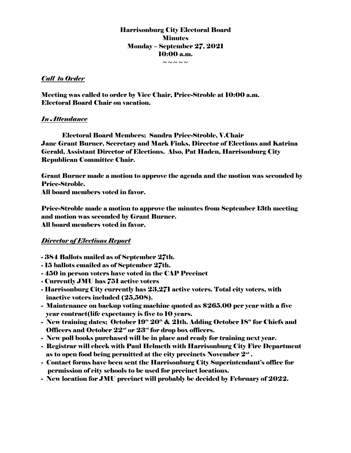# Harrisonburg City Electoral Board **Minutes** Monday – September 27, 2021 10:00 a.m. ~~~~~

### *Call to Order*

Meeting was called to order by Vice Chair, Price-Stroble at 10:00 a.m. Electoral Board Chair on vacation.

## *In Attendance*

Electoral Board Members; Sandra Price-Stroble, V.Chair Jane Grant Burner, Secretary and Mark Finks, Director of Elections and Katrina Gerald, Assistant Director of Elections. Also, Pat Haden, Harrisonburg City Republican Committee Chair.

Grant Burner made a motion to approve the agenda and the motion was seconded by Price-Stroble.

All board members voted in favor.

Price-Stroble made a motion to approve the minutes from September 13th meeting and motion was seconded by Grant Burner. All board members voted in favor.

## *Director of Elections Report*

- 384 Ballots mailed as of September 27th.
- 15 ballots emailed as of September 27th.
- 450 in person voters have voted in the CAP Precinct
- Currently JMU has 751 active voters
- Harrisonburg City currently has 23,271 active voters. Total city voters, with inactive voters included (25,508).
- Maintenance on backup voting machine quoted as \$265.00 per year with a five year contract(life expectancy is five to 10 years.
- New training dates; October  $19<sup>th</sup> 20<sup>th</sup>$  &  $21th$ . Adding October  $18<sup>th</sup>$  for Chiefs and Officers and October  $22<sup>nd</sup>$  or  $23<sup>rd</sup>$  for drop box officers.
- New poll books purchased will be in place and ready for training next year.
- Registrar will check with Paul Helmeth with Harrisonburg City Fire Department as to open food being permitted at the city precincts November  $2^{\mathsf{nd}}$  .
- Contact forms have been sent the Harrisonburg City Superintendant's office for permission of city schools to be used for precinct locations.
- New location for JMU precinct will probably be decided by February of 2022.